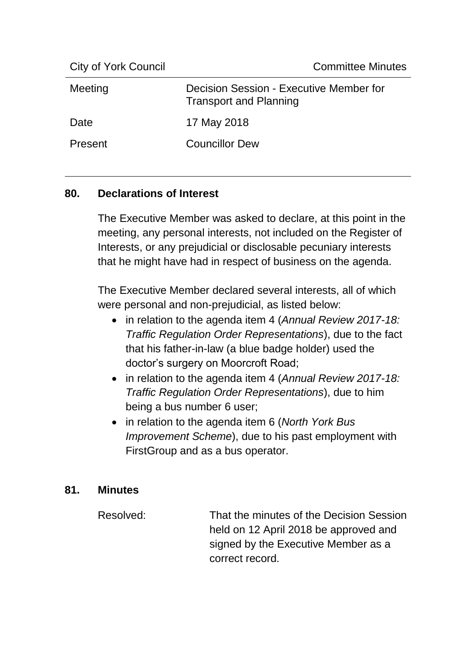| <b>City of York Council</b> | <b>Committee Minutes</b>                                                 |
|-----------------------------|--------------------------------------------------------------------------|
| Meeting                     | Decision Session - Executive Member for<br><b>Transport and Planning</b> |
| Date                        | 17 May 2018                                                              |
| Present                     | <b>Councillor Dew</b>                                                    |

#### **80. Declarations of Interest**

The Executive Member was asked to declare, at this point in the meeting, any personal interests, not included on the Register of Interests, or any prejudicial or disclosable pecuniary interests that he might have had in respect of business on the agenda.

The Executive Member declared several interests, all of which were personal and non-prejudicial, as listed below:

- in relation to the agenda item 4 (*Annual Review 2017-18: Traffic Regulation Order Representations*), due to the fact that his father-in-law (a blue badge holder) used the doctor's surgery on Moorcroft Road;
- in relation to the agenda item 4 (*Annual Review 2017-18: Traffic Regulation Order Representations*), due to him being a bus number 6 user;
- in relation to the agenda item 6 (*North York Bus Improvement Scheme*), due to his past employment with FirstGroup and as a bus operator.

#### **81. Minutes**

Resolved: That the minutes of the Decision Session held on 12 April 2018 be approved and signed by the Executive Member as a correct record.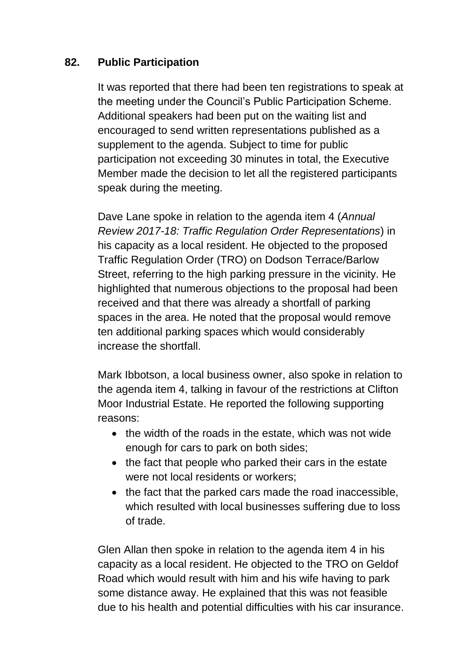## **82. Public Participation**

It was reported that there had been ten registrations to speak at the meeting under the Council's Public Participation Scheme. Additional speakers had been put on the waiting list and encouraged to send written representations published as a supplement to the agenda. Subject to time for public participation not exceeding 30 minutes in total, the Executive Member made the decision to let all the registered participants speak during the meeting.

Dave Lane spoke in relation to the agenda item 4 (*Annual Review 2017-18: Traffic Regulation Order Representations*) in his capacity as a local resident. He objected to the proposed Traffic Regulation Order (TRO) on Dodson Terrace/Barlow Street, referring to the high parking pressure in the vicinity. He highlighted that numerous objections to the proposal had been received and that there was already a shortfall of parking spaces in the area. He noted that the proposal would remove ten additional parking spaces which would considerably increase the shortfall.

Mark Ibbotson, a local business owner, also spoke in relation to the agenda item 4, talking in favour of the restrictions at Clifton Moor Industrial Estate. He reported the following supporting reasons:

- the width of the roads in the estate, which was not wide enough for cars to park on both sides;
- the fact that people who parked their cars in the estate were not local residents or workers;
- the fact that the parked cars made the road inaccessible, which resulted with local businesses suffering due to loss of trade.

Glen Allan then spoke in relation to the agenda item 4 in his capacity as a local resident. He objected to the TRO on Geldof Road which would result with him and his wife having to park some distance away. He explained that this was not feasible due to his health and potential difficulties with his car insurance.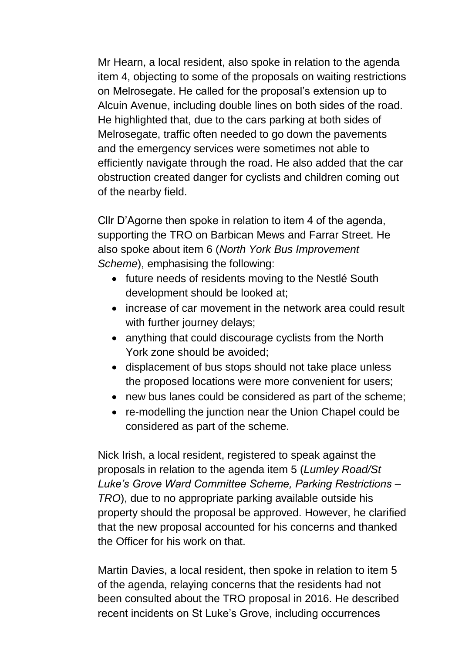Mr Hearn, a local resident, also spoke in relation to the agenda item 4, objecting to some of the proposals on waiting restrictions on Melrosegate. He called for the proposal's extension up to Alcuin Avenue, including double lines on both sides of the road. He highlighted that, due to the cars parking at both sides of Melrosegate, traffic often needed to go down the pavements and the emergency services were sometimes not able to efficiently navigate through the road. He also added that the car obstruction created danger for cyclists and children coming out of the nearby field.

Cllr D'Agorne then spoke in relation to item 4 of the agenda, supporting the TRO on Barbican Mews and Farrar Street. He also spoke about item 6 (*North York Bus Improvement Scheme*), emphasising the following:

- future needs of residents moving to the Nestlé South development should be looked at;
- increase of car movement in the network area could result with further journey delays:
- anything that could discourage cyclists from the North York zone should be avoided;
- displacement of bus stops should not take place unless the proposed locations were more convenient for users;
- new bus lanes could be considered as part of the scheme;
- re-modelling the junction near the Union Chapel could be considered as part of the scheme.

Nick Irish, a local resident, registered to speak against the proposals in relation to the agenda item 5 (*Lumley Road/St Luke's Grove Ward Committee Scheme, Parking Restrictions – TRO*), due to no appropriate parking available outside his property should the proposal be approved. However, he clarified that the new proposal accounted for his concerns and thanked the Officer for his work on that.

Martin Davies, a local resident, then spoke in relation to item 5 of the agenda, relaying concerns that the residents had not been consulted about the TRO proposal in 2016. He described recent incidents on St Luke's Grove, including occurrences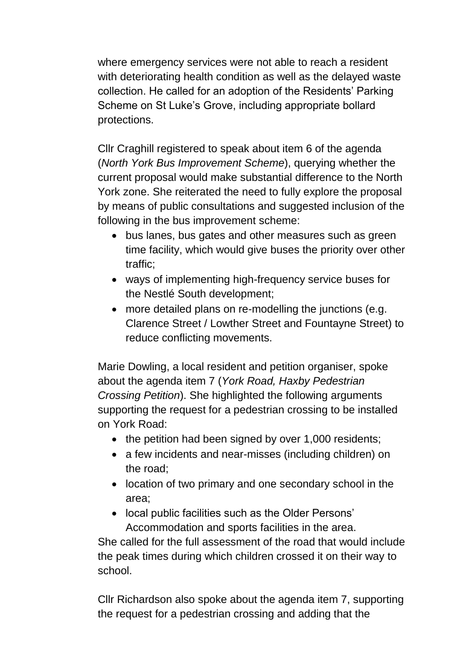where emergency services were not able to reach a resident with deteriorating health condition as well as the delayed waste collection. He called for an adoption of the Residents' Parking Scheme on St Luke's Grove, including appropriate bollard protections.

Cllr Craghill registered to speak about item 6 of the agenda (*North York Bus Improvement Scheme*), querying whether the current proposal would make substantial difference to the North York zone. She reiterated the need to fully explore the proposal by means of public consultations and suggested inclusion of the following in the bus improvement scheme:

- bus lanes, bus gates and other measures such as green time facility, which would give buses the priority over other traffic;
- ways of implementing high-frequency service buses for the Nestlé South development;
- more detailed plans on re-modelling the junctions (e.g. Clarence Street / Lowther Street and Fountayne Street) to reduce conflicting movements.

Marie Dowling, a local resident and petition organiser, spoke about the agenda item 7 (*York Road, Haxby Pedestrian Crossing Petition*). She highlighted the following arguments supporting the request for a pedestrian crossing to be installed on York Road:

- the petition had been signed by over 1,000 residents;
- a few incidents and near-misses (including children) on the road;
- location of two primary and one secondary school in the area;
- local public facilities such as the Older Persons' Accommodation and sports facilities in the area.

She called for the full assessment of the road that would include the peak times during which children crossed it on their way to school.

Cllr Richardson also spoke about the agenda item 7, supporting the request for a pedestrian crossing and adding that the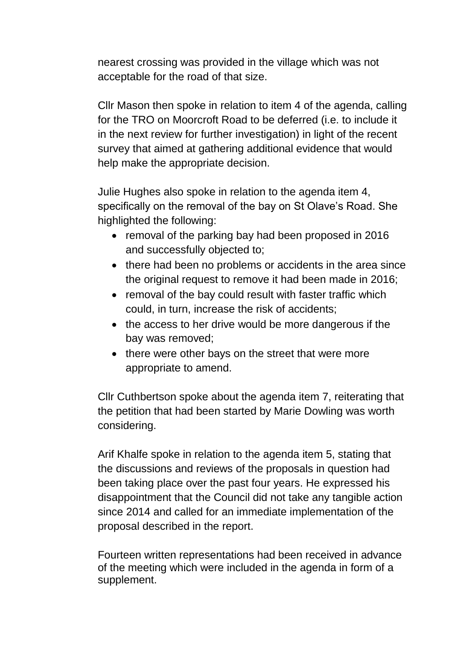nearest crossing was provided in the village which was not acceptable for the road of that size.

Cllr Mason then spoke in relation to item 4 of the agenda, calling for the TRO on Moorcroft Road to be deferred (i.e. to include it in the next review for further investigation) in light of the recent survey that aimed at gathering additional evidence that would help make the appropriate decision.

Julie Hughes also spoke in relation to the agenda item 4, specifically on the removal of the bay on St Olave's Road. She highlighted the following:

- removal of the parking bay had been proposed in 2016 and successfully objected to;
- there had been no problems or accidents in the area since the original request to remove it had been made in 2016;
- removal of the bay could result with faster traffic which could, in turn, increase the risk of accidents;
- the access to her drive would be more dangerous if the bay was removed;
- there were other bays on the street that were more appropriate to amend.

Cllr Cuthbertson spoke about the agenda item 7, reiterating that the petition that had been started by Marie Dowling was worth considering.

Arif Khalfe spoke in relation to the agenda item 5, stating that the discussions and reviews of the proposals in question had been taking place over the past four years. He expressed his disappointment that the Council did not take any tangible action since 2014 and called for an immediate implementation of the proposal described in the report.

Fourteen written representations had been received in advance of the meeting which were included in the agenda in form of a supplement.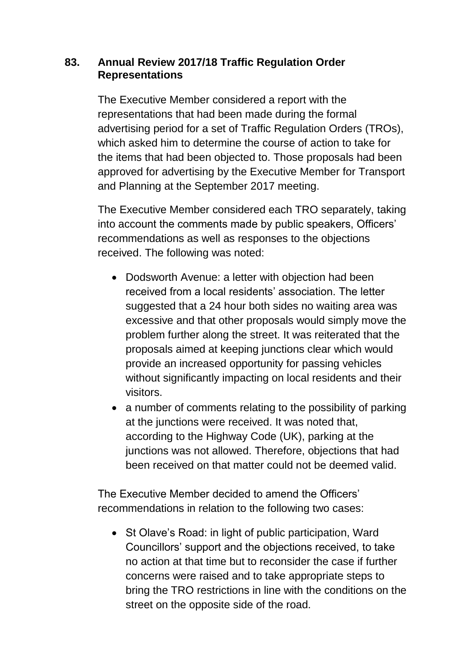## **83. Annual Review 2017/18 Traffic Regulation Order Representations**

The Executive Member considered a report with the representations that had been made during the formal advertising period for a set of Traffic Regulation Orders (TROs), which asked him to determine the course of action to take for the items that had been objected to. Those proposals had been approved for advertising by the Executive Member for Transport and Planning at the September 2017 meeting.

The Executive Member considered each TRO separately, taking into account the comments made by public speakers, Officers' recommendations as well as responses to the objections received. The following was noted:

- Dodsworth Avenue: a letter with objection had been received from a local residents' association. The letter suggested that a 24 hour both sides no waiting area was excessive and that other proposals would simply move the problem further along the street. It was reiterated that the proposals aimed at keeping junctions clear which would provide an increased opportunity for passing vehicles without significantly impacting on local residents and their visitors.
- a number of comments relating to the possibility of parking at the junctions were received. It was noted that, according to the Highway Code (UK), parking at the junctions was not allowed. Therefore, objections that had been received on that matter could not be deemed valid.

The Executive Member decided to amend the Officers' recommendations in relation to the following two cases:

• St Olave's Road: in light of public participation, Ward Councillors' support and the objections received, to take no action at that time but to reconsider the case if further concerns were raised and to take appropriate steps to bring the TRO restrictions in line with the conditions on the street on the opposite side of the road.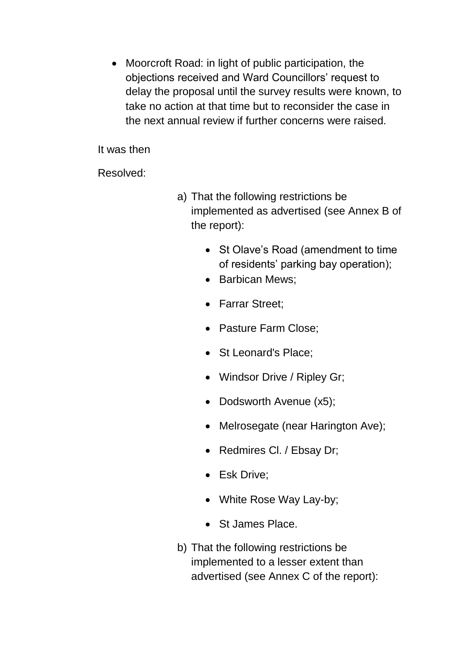• Moorcroft Road: in light of public participation, the objections received and Ward Councillors' request to delay the proposal until the survey results were known, to take no action at that time but to reconsider the case in the next annual review if further concerns were raised.

It was then

Resolved:

- a) That the following restrictions be implemented as advertised (see Annex B of the report):
	- St Olave's Road (amendment to time of residents' parking bay operation);
	- Barbican Mews:
	- Farrar Street:
	- Pasture Farm Close;
	- St Leonard's Place;
	- Windsor Drive / Ripley Gr;
	- Dodsworth Avenue (x5);
	- Melrosegate (near Harington Ave);
	- Redmires Cl. / Ebsay Dr;
	- Esk Drive;
	- White Rose Way Lay-by;
	- St James Place.
- b) That the following restrictions be implemented to a lesser extent than advertised (see Annex C of the report):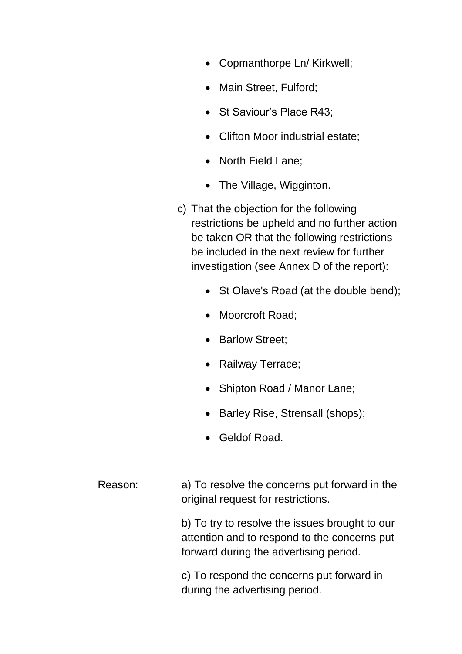- Copmanthorpe Ln/ Kirkwell;
- Main Street, Fulford;
- St Saviour's Place R43;
- Clifton Moor industrial estate;
- North Field Lane;
- The Village, Wigginton.
- c) That the objection for the following restrictions be upheld and no further action be taken OR that the following restrictions be included in the next review for further investigation (see Annex D of the report):
	- St Olave's Road (at the double bend);
	- Moorcroft Road;
	- Barlow Street;
	- Railway Terrace;
	- Shipton Road / Manor Lane;
	- Barley Rise, Strensall (shops);
	- Geldof Road.
- Reason: a) To resolve the concerns put forward in the original request for restrictions.

b) To try to resolve the issues brought to our attention and to respond to the concerns put forward during the advertising period.

c) To respond the concerns put forward in during the advertising period.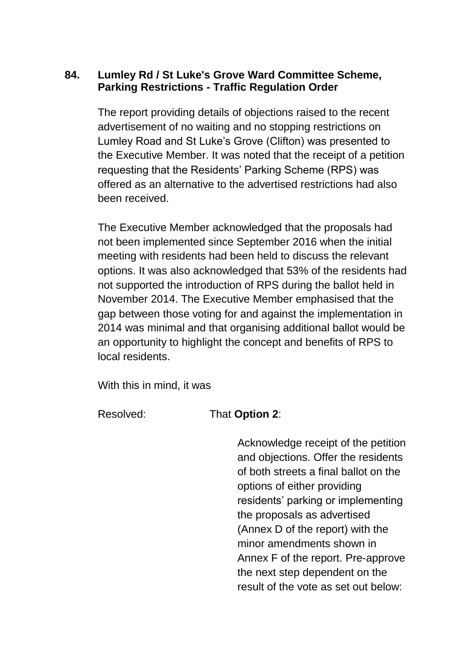## **84. Lumley Rd / St Luke's Grove Ward Committee Scheme, Parking Restrictions - Traffic Regulation Order**

The report providing details of objections raised to the recent advertisement of no waiting and no stopping restrictions on Lumley Road and St Luke's Grove (Clifton) was presented to the Executive Member. It was noted that the receipt of a petition requesting that the Residents' Parking Scheme (RPS) was offered as an alternative to the advertised restrictions had also been received.

The Executive Member acknowledged that the proposals had not been implemented since September 2016 when the initial meeting with residents had been held to discuss the relevant options. It was also acknowledged that 53% of the residents had not supported the introduction of RPS during the ballot held in November 2014. The Executive Member emphasised that the gap between those voting for and against the implementation in 2014 was minimal and that organising additional ballot would be an opportunity to highlight the concept and benefits of RPS to local residents.

With this in mind, it was

Resolved: That **Option 2**:

Acknowledge receipt of the petition and objections. Offer the residents of both streets a final ballot on the options of either providing residents' parking or implementing the proposals as advertised (Annex D of the report) with the minor amendments shown in Annex F of the report. Pre-approve the next step dependent on the result of the vote as set out below: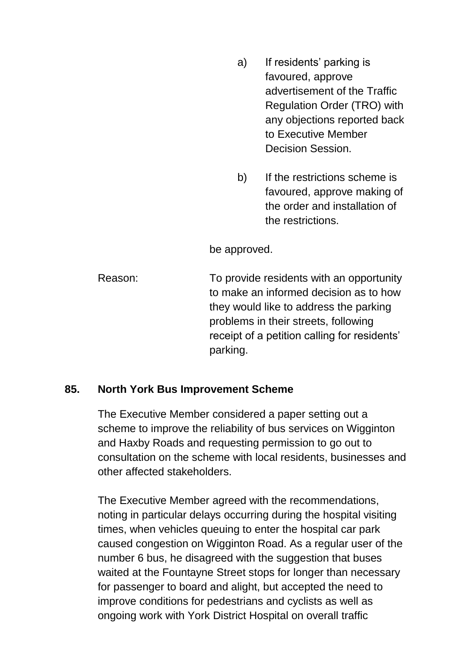- a) If residents' parking is favoured, approve advertisement of the Traffic Regulation Order (TRO) with any objections reported back to Executive Member Decision Session.
- b) If the restrictions scheme is favoured, approve making of the order and installation of the restrictions.

be approved.

Reason: To provide residents with an opportunity to make an informed decision as to how they would like to address the parking problems in their streets, following receipt of a petition calling for residents' parking.

#### **85. North York Bus Improvement Scheme**

The Executive Member considered a paper setting out a scheme to improve the reliability of bus services on Wigginton and Haxby Roads and requesting permission to go out to consultation on the scheme with local residents, businesses and other affected stakeholders.

The Executive Member agreed with the recommendations, noting in particular delays occurring during the hospital visiting times, when vehicles queuing to enter the hospital car park caused congestion on Wigginton Road. As a regular user of the number 6 bus, he disagreed with the suggestion that buses waited at the Fountayne Street stops for longer than necessary for passenger to board and alight, but accepted the need to improve conditions for pedestrians and cyclists as well as ongoing work with York District Hospital on overall traffic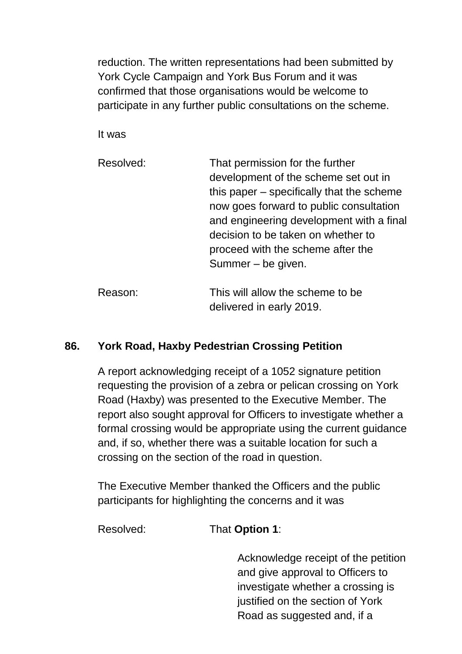reduction. The written representations had been submitted by York Cycle Campaign and York Bus Forum and it was confirmed that those organisations would be welcome to participate in any further public consultations on the scheme.

It was

| Resolved: | That permission for the further<br>development of the scheme set out in<br>this paper – specifically that the scheme<br>now goes forward to public consultation<br>and engineering development with a final<br>decision to be taken on whether to<br>proceed with the scheme after the<br>Summer – be given. |
|-----------|--------------------------------------------------------------------------------------------------------------------------------------------------------------------------------------------------------------------------------------------------------------------------------------------------------------|
| Reason:   | This will allow the scheme to be<br>delivered in early 2019.                                                                                                                                                                                                                                                 |

# **86. York Road, Haxby Pedestrian Crossing Petition**

A report acknowledging receipt of a 1052 signature petition requesting the provision of a zebra or pelican crossing on York Road (Haxby) was presented to the Executive Member. The report also sought approval for Officers to investigate whether a formal crossing would be appropriate using the current guidance and, if so, whether there was a suitable location for such a crossing on the section of the road in question.

The Executive Member thanked the Officers and the public participants for highlighting the concerns and it was

Resolved: That **Option 1**:

Acknowledge receipt of the petition and give approval to Officers to investigate whether a crossing is justified on the section of York Road as suggested and, if a